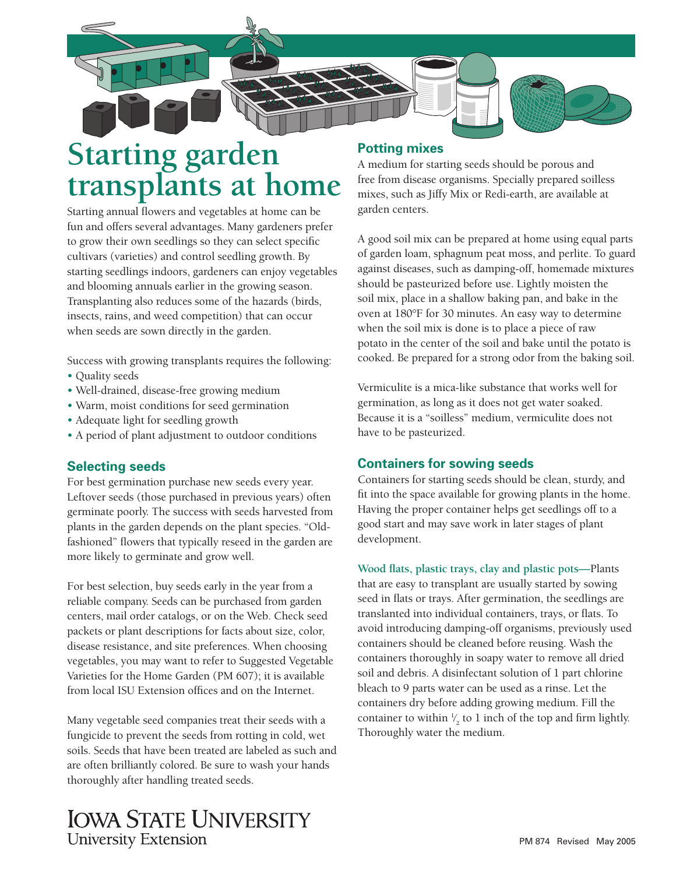

# **Starting garden transplants at home**

Starting annual flowers and vegetables at home can be fun and offers several advantages. Many gardeners prefer to grow their own seedlings so they can select specific cultivars (varieties) and control seedling growth. By starting seedlings indoors, gardeners can enjoy vegetables and blooming annuals earlier in the growing season. Transplanting also reduces some of the hazards (birds, insects, rains, and weed competition) that can occur when seeds are sown directly in the garden.

Success with growing transplants requires the following:

- Quality seeds
- Well-drained, disease-free growing medium
- Warm, moist conditions for seed germination
- Adequate light for seedling growth
- A period of plant adjustment to outdoor conditions

# **Selecting seeds**

For best germination purchase new seeds every year. Leftover seeds (those purchased in previous years) often germinate poorly. The success with seeds harvested from plants in the garden depends on the plant species. "Oldfashioned" flowers that typically reseed in the garden are more likely to germinate and grow well.

For best selection, buy seeds early in the year from a reliable company. Seeds can be purchased from garden centers, mail order catalogs, or on the Web. Check seed packets or plant descriptions for facts about size, color, disease resistance, and site preferences. When choosing vegetables, you may want to refer to Suggested Vegetable Varieties for the Home Garden (PM 607); it is available from local ISU Extension offices and on the Internet.

Many vegetable seed companies treat their seeds with a fungicide to prevent the seeds from rotting in cold, wet soils. Seeds that have been treated are labeled as such and are often brilliantly colored. Be sure to wash your hands thoroughly after handling treated seeds.

# **Potting mixes**

A medium for starting seeds should be porous and free from disease organisms. Specially prepared soilless mixes, such as Jiffy Mix or Redi-earth, are available at garden centers.

A good soil mix can be prepared at home using equal parts of garden loam, sphagnum peat moss, and perlite. To guard against diseases, such as damping-off, homemade mixtures should be pasteurized before use. Lightly moisten the soil mix, place in a shallow baking pan, and bake in the oven at 180°F for 30 minutes. An easy way to determine when the soil mix is done is to place a piece of raw potato in the center of the soil and bake until the potato is cooked. Be prepared for a strong odor from the baking soil.

Vermiculite is a mica-like substance that works well for germination, as long as it does not get water soaked. Because it is a "soilless" medium, vermiculite does not have to be pasteurized.

# **Containers for sowing seeds**

Containers for starting seeds should be clean, sturdy, and fit into the space available for growing plants in the home. Having the proper container helps get seedlings off to a good start and may save work in later stages of plant development.

Wood flats, plastic trays, clay and plastic pots-Plants that are easy to transplant are usually started by sowing seed in flats or trays. After germination, the seedlings are translanted into individual containers, trays, or flats. To avoid introducing damping-off organisms, previously used containers should be cleaned before reusing. Wash the containers thoroughly in soapy water to remove all dried soil and debris. A disinfectant solution of 1 part chlorine bleach to 9 parts water can be used as a rinse. Let the containers dry before adding growing medium. Fill the container to within  $\frac{1}{2}$  to 1 inch of the top and firm lightly. ⁄ Thoroughly water the medium.

# **IOWA STATE UNIVERSITY University Extension**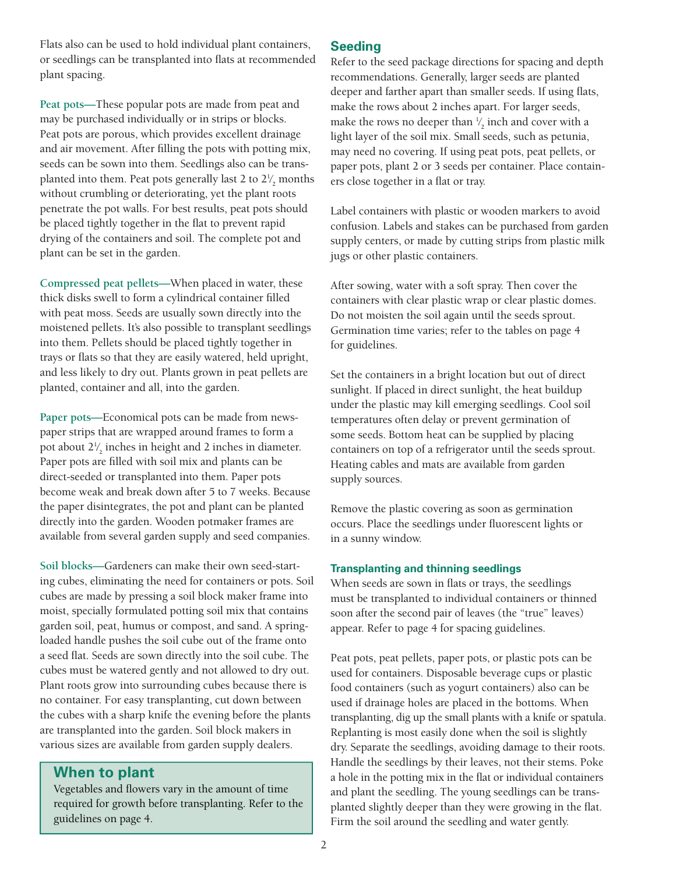Flats also can be used to hold individual plant containers, or seedlings can be transplanted into flats at recommended plant spacing.

**Peat pots—**These popular pots are made from peat and may be purchased individually or in strips or blocks. Peat pots are porous, which provides excellent drainage and air movement. After filling the pots with potting mix, seeds can be sown into them. Seedlings also can be transplanted into them. Peat pots generally last 2 to  $2\frac{1}{2}$  months ⁄ without crumbling or deteriorating, yet the plant roots penetrate the pot walls. For best results, peat pots should be placed tightly together in the flat to prevent rapid drying of the containers and soil. The complete pot and plant can be set in the garden.

Compressed peat pellets—When placed in water, these thick disks swell to form a cylindrical container filled with peat moss. Seeds are usually sown directly into the moistened pellets. It's also possible to transplant seedlings into them. Pellets should be placed tightly together in trays or flats so that they are easily watered, held upright, and less likely to dry out. Plants grown in peat pellets are planted, container and all, into the garden.

**Paper pots—**Economical pots can be made from newspaper strips that are wrapped around frames to form a pot about 21 2 inches in height and 2 inches in diameter. ⁄ Paper pots are filled with soil mix and plants can be direct-seeded or transplanted into them. Paper pots become weak and break down after 5 to 7 weeks. Because the paper disintegrates, the pot and plant can be planted directly into the garden. Wooden potmaker frames are available from several garden supply and seed companies.

**Soil blocks—**Gardeners can make their own seed-starting cubes, eliminating the need for containers or pots. Soil cubes are made by pressing a soil block maker frame into moist, specially formulated potting soil mix that contains garden soil, peat, humus or compost, and sand. A springloaded handle pushes the soil cube out of the frame onto a seed flat. Seeds are sown directly into the soil cube. The cubes must be watered gently and not allowed to dry out. Plant roots grow into surrounding cubes because there is no container. For easy transplanting, cut down between the cubes with a sharp knife the evening before the plants are transplanted into the garden. Soil block makers in various sizes are available from garden supply dealers.

# **When to plant**

Vegetables and flowers vary in the amount of time required for growth before transplanting. Refer to the guidelines on page 4.

# **Seeding**

Refer to the seed package directions for spacing and depth recommendations. Generally, larger seeds are planted deeper and farther apart than smaller seeds. If using flats, make the rows about 2 inches apart. For larger seeds, make the rows no deeper than  $\frac{1}{2}$  inch and cover with a ⁄ light layer of the soil mix. Small seeds, such as petunia, may need no covering. If using peat pots, peat pellets, or paper pots, plant 2 or 3 seeds per container. Place containers close together in a flat or tray.

Label containers with plastic or wooden markers to avoid confusion. Labels and stakes can be purchased from garden supply centers, or made by cutting strips from plastic milk jugs or other plastic containers.

After sowing, water with a soft spray. Then cover the containers with clear plastic wrap or clear plastic domes. Do not moisten the soil again until the seeds sprout. Germination time varies; refer to the tables on page 4 for guidelines.

Set the containers in a bright location but out of direct sunlight. If placed in direct sunlight, the heat buildup under the plastic may kill emerging seedlings. Cool soil temperatures often delay or prevent germination of some seeds. Bottom heat can be supplied by placing containers on top of a refrigerator until the seeds sprout. Heating cables and mats are available from garden supply sources.

Remove the plastic covering as soon as germination occurs. Place the seedlings under fluorescent lights or in a sunny window.

# **Transplanting and thinning seedlings**

When seeds are sown in flats or trays, the seedlings must be transplanted to individual containers or thinned soon after the second pair of leaves (the "true" leaves) appear. Refer to page 4 for spacing guidelines.

Peat pots, peat pellets, paper pots, or plastic pots can be used for containers. Disposable beverage cups or plastic food containers (such as yogurt containers) also can be used if drainage holes are placed in the bottoms. When transplanting, dig up the small plants with a knife or spatula. Replanting is most easily done when the soil is slightly dry. Separate the seedlings, avoiding damage to their roots. Handle the seedlings by their leaves, not their stems. Poke a hole in the potting mix in the flat or individual containers and plant the seedling. The young seedlings can be transplanted slightly deeper than they were growing in the flat. Firm the soil around the seedling and water gently.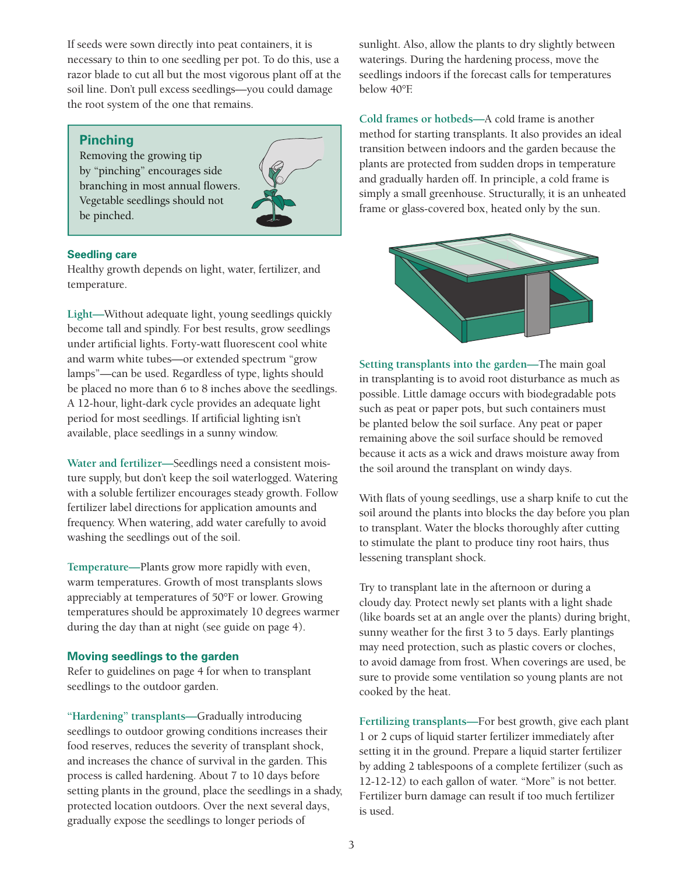If seeds were sown directly into peat containers, it is necessary to thin to one seedling per pot. To do this, use a razor blade to cut all but the most vigorous plant off at the soil line. Don't pull excess seedlings—you could damage the root system of the one that remains.

#### **Pinching**

Removing the growing tip by "pinching" encourages side branching in most annual flowers. Vegetable seedlings should not be pinched.



#### **Seedling care**

Healthy growth depends on light, water, fertilizer, and temperature.

Light-Without adequate light, young seedlings quickly become tall and spindly. For best results, grow seedlings under artificial lights. Forty-watt fluorescent cool white and warm white tubes—or extended spectrum "grow lamps"—can be used. Regardless of type, lights should be placed no more than 6 to 8 inches above the seedlings. A 12-hour, light-dark cycle provides an adequate light period for most seedlings. If artificial lighting isn't available, place seedlings in a sunny window.

**Water and fertilizer—**Seedlings need a consistent moisture supply, but don't keep the soil waterlogged. Watering with a soluble fertilizer encourages steady growth. Follow fertilizer label directions for application amounts and frequency. When watering, add water carefully to avoid washing the seedlings out of the soil.

**Temperature—**Plants grow more rapidly with even, warm temperatures. Growth of most transplants slows appreciably at temperatures of 50°F or lower. Growing temperatures should be approximately 10 degrees warmer during the day than at night (see guide on page 4).

#### **Moving seedlings to the garden**

Refer to guidelines on page 4 for when to transplant seedlings to the outdoor garden.

**"Hardening" transplants—**Gradually introducing seedlings to outdoor growing conditions increases their food reserves, reduces the severity of transplant shock, and increases the chance of survival in the garden. This process is called hardening. About 7 to 10 days before setting plants in the ground, place the seedlings in a shady, protected location outdoors. Over the next several days, gradually expose the seedlings to longer periods of

sunlight. Also, allow the plants to dry slightly between waterings. During the hardening process, move the seedlings indoors if the forecast calls for temperatures below 40°F.

Cold frames or hotbeds—A cold frame is another method for starting transplants. It also provides an ideal transition between indoors and the garden because the plants are protected from sudden drops in temperature and gradually harden off. In principle, a cold frame is simply a small greenhouse. Structurally, it is an unheated frame or glass-covered box, heated only by the sun.



**Setting transplants into the garden—**The main goal in transplanting is to avoid root disturbance as much as possible. Little damage occurs with biodegradable pots such as peat or paper pots, but such containers must be planted below the soil surface. Any peat or paper remaining above the soil surface should be removed because it acts as a wick and draws moisture away from the soil around the transplant on windy days.

With flats of young seedlings, use a sharp knife to cut the soil around the plants into blocks the day before you plan to transplant. Water the blocks thoroughly after cutting to stimulate the plant to produce tiny root hairs, thus lessening transplant shock.

Try to transplant late in the afternoon or during a cloudy day. Protect newly set plants with a light shade (like boards set at an angle over the plants) during bright, sunny weather for the first 3 to 5 days. Early plantings may need protection, such as plastic covers or cloches, to avoid damage from frost. When coverings are used, be sure to provide some ventilation so young plants are not cooked by the heat.

**Fertilizing transplants—**For best growth, give each plant 1 or 2 cups of liquid starter fertilizer immediately after setting it in the ground. Prepare a liquid starter fertilizer by adding 2 tablespoons of a complete fertilizer (such as 12-12-12) to each gallon of water. "More" is not better. Fertilizer burn damage can result if too much fertilizer is used.